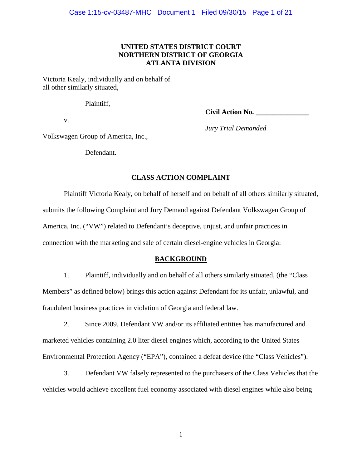# **UNITED STATES DISTRICT COURT NORTHERN DISTRICT OF GEORGIA ATLANTA DIVISION**

Victoria Kealy, individually and on behalf of all other similarly situated,

Plaintiff,

v.

**Civil Action No. \_\_\_\_\_\_\_\_\_\_\_\_\_\_\_**

Volkswagen Group of America, Inc.,

Defendant.

*Jury Trial Demanded*

# **CLASS ACTION COMPLAINT**

Plaintiff Victoria Kealy, on behalf of herself and on behalf of all others similarly situated, submits the following Complaint and Jury Demand against Defendant Volkswagen Group of America, Inc. ("VW") related to Defendant's deceptive, unjust, and unfair practices in connection with the marketing and sale of certain diesel-engine vehicles in Georgia:

## **BACKGROUND**

1. Plaintiff, individually and on behalf of all others similarly situated, (the "Class Members" as defined below) brings this action against Defendant for its unfair, unlawful, and fraudulent business practices in violation of Georgia and federal law.

2. Since 2009, Defendant VW and/or its affiliated entities has manufactured and marketed vehicles containing 2.0 liter diesel engines which, according to the United States Environmental Protection Agency ("EPA"), contained a defeat device (the "Class Vehicles").

3. Defendant VW falsely represented to the purchasers of the Class Vehicles that the vehicles would achieve excellent fuel economy associated with diesel engines while also being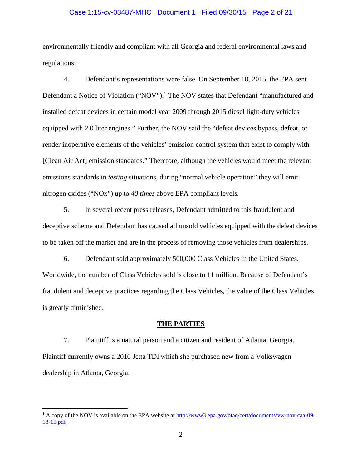## Case 1:15-cv-03487-MHC Document 1 Filed 09/30/15 Page 2 of 21

environmentally friendly and compliant with all Georgia and federal environmental laws and regulations.

4. Defendant's representations were false. On September 18, 2015, the EPA sent Defendant a Notice of Violation ("NOV").<sup>1</sup> The NOV states that Defendant "manufactured and installed defeat devices in certain model year 2009 through 2015 diesel light-duty vehicles equipped with 2.0 liter engines." Further, the NOV said the "defeat devices bypass, defeat, or render inoperative elements of the vehicles' emission control system that exist to comply with [Clean Air Act] emission standards." Therefore, although the vehicles would meet the relevant emissions standards in *testing* situations, during "normal vehicle operation" they will emit nitrogen oxides ("NOx") up to *40 times* above EPA compliant levels.

5. In several recent press releases, Defendant admitted to this fraudulent and deceptive scheme and Defendant has caused all unsold vehicles equipped with the defeat devices to be taken off the market and are in the process of removing those vehicles from dealerships.

6. Defendant sold approximately 500,000 Class Vehicles in the United States. Worldwide, the number of Class Vehicles sold is close to 11 million. Because of Defendant's fraudulent and deceptive practices regarding the Class Vehicles, the value of the Class Vehicles is greatly diminished.

#### **THE PARTIES**

7. Plaintiff is a natural person and a citizen and resident of Atlanta, Georgia. Plaintiff currently owns a 2010 Jetta TDI which she purchased new from a Volkswagen dealership in Atlanta, Georgia.

 $1$  A copy of the NOV is available on the EPA website at http://www3.epa.gov/otaq/cert/documents/vw-nov-caa-09-18-15.pdf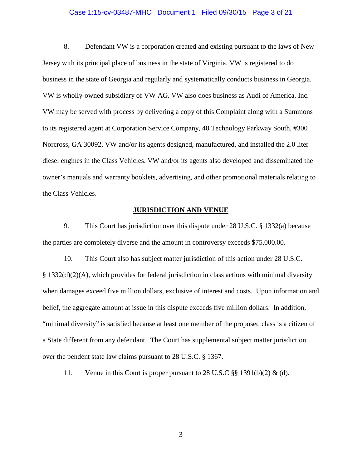#### Case 1:15-cv-03487-MHC Document 1 Filed 09/30/15 Page 3 of 21

8. Defendant VW is a corporation created and existing pursuant to the laws of New Jersey with its principal place of business in the state of Virginia. VW is registered to do business in the state of Georgia and regularly and systematically conducts business in Georgia. VW is wholly-owned subsidiary of VW AG. VW also does business as Audi of America, Inc. VW may be served with process by delivering a copy of this Complaint along with a Summons to its registered agent at Corporation Service Company, 40 Technology Parkway South, #300 Norcross, GA 30092. VW and/or its agents designed, manufactured, and installed the 2.0 liter diesel engines in the Class Vehicles. VW and/or its agents also developed and disseminated the owner's manuals and warranty booklets, advertising, and other promotional materials relating to the Class Vehicles.

## **JURISDICTION AND VENUE**

9. This Court has jurisdiction over this dispute under 28 U.S.C. § 1332(a) because the parties are completely diverse and the amount in controversy exceeds \$75,000.00.

10. This Court also has subject matter jurisdiction of this action under 28 U.S.C.  $\S 1332(d)(2)(A)$ , which provides for federal jurisdiction in class actions with minimal diversity when damages exceed five million dollars, exclusive of interest and costs. Upon information and belief, the aggregate amount at issue in this dispute exceeds five million dollars. In addition, "minimal diversity" is satisfied because at least one member of the proposed class is a citizen of a State different from any defendant. The Court has supplemental subject matter jurisdiction over the pendent state law claims pursuant to 28 U.S.C. § 1367.

11. Venue in this Court is proper pursuant to 28 U.S.C  $\S$ § 1391(b)(2) & (d).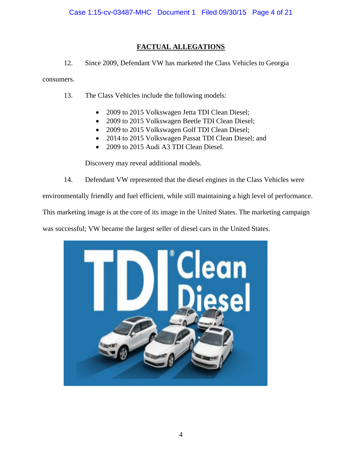# **FACTUAL ALLEGATIONS**

12. Since 2009, Defendant VW has marketed the Class Vehicles to Georgia

consumers.

- 13. The Class Vehicles include the following models:
	- 2009 to 2015 Volkswagen Jetta TDI Clean Diesel;
	- 2009 to 2015 Volkswagen Beetle TDI Clean Diesel;
	- 2009 to 2015 Volkswagen Golf TDI Clean Diesel;
	- 2014 to 2015 Volkswagen Passat TDI Clean Diesel; and
	- 2009 to 2015 Audi A3 TDI Clean Diesel.

Discovery may reveal additional models.

14. Defendant VW represented that the diesel engines in the Class Vehicles were

environmentally friendly and fuel efficient, while still maintaining a high level of performance.

This marketing image is at the core of its image in the United States. The marketing campaign

was successful; VW became the largest seller of diesel cars in the United States.

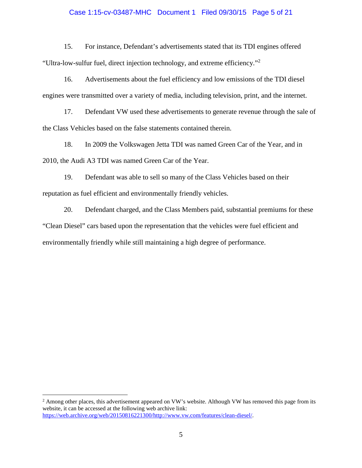## Case 1:15-cv-03487-MHC Document 1 Filed 09/30/15 Page 5 of 21

15. For instance, Defendant's advertisements stated that its TDI engines offered "Ultra-low-sulfur fuel, direct injection technology, and extreme efficiency."<sup>2</sup>

16. Advertisements about the fuel efficiency and low emissions of the TDI diesel engines were transmitted over a variety of media, including television, print, and the internet.

17. Defendant VW used these advertisements to generate revenue through the sale of the Class Vehicles based on the false statements contained therein.

18. In 2009 the Volkswagen Jetta TDI was named Green Car of the Year, and in 2010, the Audi A3 TDI was named Green Car of the Year.

19. Defendant was able to sell so many of the Class Vehicles based on their reputation as fuel efficient and environmentally friendly vehicles.

20. Defendant charged, and the Class Members paid, substantial premiums for these "Clean Diesel" cars based upon the representation that the vehicles were fuel efficient and environmentally friendly while still maintaining a high degree of performance.

<sup>&</sup>lt;sup>2</sup> Among other places, this advertisement appeared on VW's website. Although VW has removed this page from its website, it can be accessed at the following web archive link: https://web.archive.org/web/20150816221300/http://www.vw.com/features/clean-diesel/.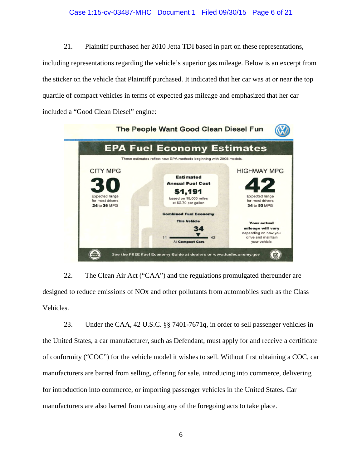## Case 1:15-cv-03487-MHC Document 1 Filed 09/30/15 Page 6 of 21

21. Plaintiff purchased her 2010 Jetta TDI based in part on these representations, including representations regarding the vehicle's superior gas mileage. Below is an excerpt from the sticker on the vehicle that Plaintiff purchased. It indicated that her car was at or near the top quartile of compact vehicles in terms of expected gas mileage and emphasized that her car included a "Good Clean Diesel" engine:



22. The Clean Air Act ("CAA") and the regulations promulgated thereunder are designed to reduce emissions of NOx and other pollutants from automobiles such as the Class Vehicles.

23. Under the CAA, 42 U.S.C. §§ 7401-7671q, in order to sell passenger vehicles in the United States, a car manufacturer, such as Defendant, must apply for and receive a certificate of conformity ("COC") for the vehicle model it wishes to sell. Without first obtaining a COC, car manufacturers are barred from selling, offering for sale, introducing into commerce, delivering for introduction into commerce, or importing passenger vehicles in the United States. Car manufacturers are also barred from causing any of the foregoing acts to take place.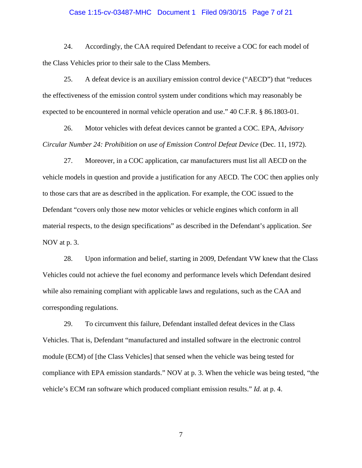#### Case 1:15-cv-03487-MHC Document 1 Filed 09/30/15 Page 7 of 21

24. Accordingly, the CAA required Defendant to receive a COC for each model of the Class Vehicles prior to their sale to the Class Members.

25. A defeat device is an auxiliary emission control device ("AECD") that "reduces the effectiveness of the emission control system under conditions which may reasonably be expected to be encountered in normal vehicle operation and use." 40 C.F.R. § 86.1803-01.

26. Motor vehicles with defeat devices cannot be granted a COC. EPA, *Advisory Circular Number 24: Prohibition on use of Emission Control Defeat Device* (Dec. 11, 1972).

27. Moreover, in a COC application, car manufacturers must list all AECD on the vehicle models in question and provide a justification for any AECD. The COC then applies only to those cars that are as described in the application. For example, the COC issued to the Defendant "covers only those new motor vehicles or vehicle engines which conform in all material respects, to the design specifications" as described in the Defendant's application. *See* NOV at p. 3.

28. Upon information and belief, starting in 2009, Defendant VW knew that the Class Vehicles could not achieve the fuel economy and performance levels which Defendant desired while also remaining compliant with applicable laws and regulations, such as the CAA and corresponding regulations.

29. To circumvent this failure, Defendant installed defeat devices in the Class Vehicles. That is, Defendant "manufactured and installed software in the electronic control module (ECM) of [the Class Vehicles] that sensed when the vehicle was being tested for compliance with EPA emission standards." NOV at p. 3. When the vehicle was being tested, "the vehicle's ECM ran software which produced compliant emission results." *Id.* at p. 4.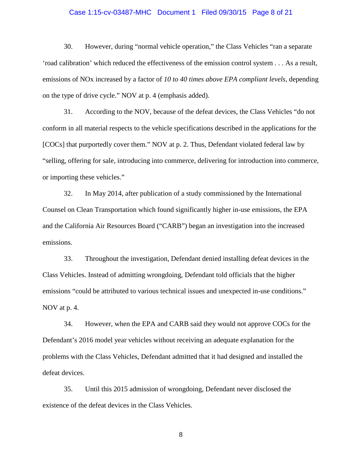#### Case 1:15-cv-03487-MHC Document 1 Filed 09/30/15 Page 8 of 21

30. However, during "normal vehicle operation," the Class Vehicles "ran a separate 'road calibration' which reduced the effectiveness of the emission control system . . . As a result, emissions of NOx increased by a factor of *10 to 40 times above EPA compliant levels*, depending on the type of drive cycle." NOV at p. 4 (emphasis added).

31. According to the NOV, because of the defeat devices, the Class Vehicles "do not conform in all material respects to the vehicle specifications described in the applications for the [COCs] that purportedly cover them." NOV at p. 2. Thus, Defendant violated federal law by "selling, offering for sale, introducing into commerce, delivering for introduction into commerce, or importing these vehicles."

32. In May 2014, after publication of a study commissioned by the International Counsel on Clean Transportation which found significantly higher in-use emissions, the EPA and the California Air Resources Board ("CARB") began an investigation into the increased emissions.

33. Throughout the investigation, Defendant denied installing defeat devices in the Class Vehicles. Instead of admitting wrongdoing, Defendant told officials that the higher emissions "could be attributed to various technical issues and unexpected in-use conditions." NOV at p. 4.

34. However, when the EPA and CARB said they would not approve COCs for the Defendant's 2016 model year vehicles without receiving an adequate explanation for the problems with the Class Vehicles, Defendant admitted that it had designed and installed the defeat devices.

35. Until this 2015 admission of wrongdoing, Defendant never disclosed the existence of the defeat devices in the Class Vehicles.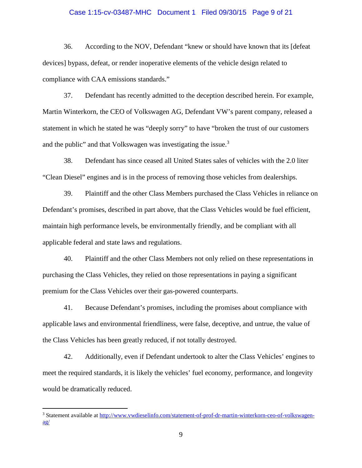## Case 1:15-cv-03487-MHC Document 1 Filed 09/30/15 Page 9 of 21

36. According to the NOV, Defendant "knew or should have known that its [defeat devices] bypass, defeat, or render inoperative elements of the vehicle design related to compliance with CAA emissions standards."

37. Defendant has recently admitted to the deception described herein. For example, Martin Winterkorn, the CEO of Volkswagen AG, Defendant VW's parent company, released a statement in which he stated he was "deeply sorry" to have "broken the trust of our customers and the public" and that Volkswagen was investigating the issue.<sup>3</sup>

38. Defendant has since ceased all United States sales of vehicles with the 2.0 liter "Clean Diesel" engines and is in the process of removing those vehicles from dealerships.

39. Plaintiff and the other Class Members purchased the Class Vehicles in reliance on Defendant's promises, described in part above, that the Class Vehicles would be fuel efficient, maintain high performance levels, be environmentally friendly, and be compliant with all applicable federal and state laws and regulations.

40. Plaintiff and the other Class Members not only relied on these representations in purchasing the Class Vehicles, they relied on those representations in paying a significant premium for the Class Vehicles over their gas-powered counterparts.

41. Because Defendant's promises, including the promises about compliance with applicable laws and environmental friendliness, were false, deceptive, and untrue, the value of the Class Vehicles has been greatly reduced, if not totally destroyed.

42. Additionally, even if Defendant undertook to alter the Class Vehicles' engines to meet the required standards, it is likely the vehicles' fuel economy, performance, and longevity would be dramatically reduced.

<sup>3</sup> Statement available at http://www.vwdieselinfo.com/statement-of-prof-dr-martin-winterkorn-ceo-of-volkswagen- $\underline{ag}/$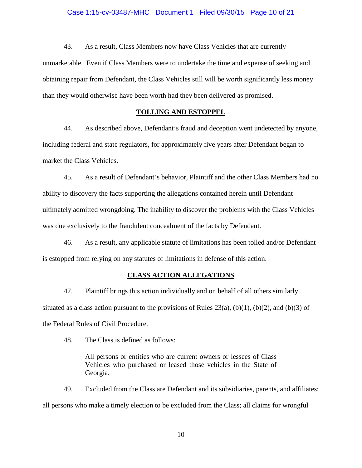43. As a result, Class Members now have Class Vehicles that are currently unmarketable. Even if Class Members were to undertake the time and expense of seeking and obtaining repair from Defendant, the Class Vehicles still will be worth significantly less money than they would otherwise have been worth had they been delivered as promised.

## **TOLLING AND ESTOPPEL**

44. As described above, Defendant's fraud and deception went undetected by anyone, including federal and state regulators, for approximately five years after Defendant began to market the Class Vehicles.

45. As a result of Defendant's behavior, Plaintiff and the other Class Members had no ability to discovery the facts supporting the allegations contained herein until Defendant ultimately admitted wrongdoing. The inability to discover the problems with the Class Vehicles was due exclusively to the fraudulent concealment of the facts by Defendant.

46. As a result, any applicable statute of limitations has been tolled and/or Defendant is estopped from relying on any statutes of limitations in defense of this action.

## **CLASS ACTION ALLEGATIONS**

47. Plaintiff brings this action individually and on behalf of all others similarly situated as a class action pursuant to the provisions of Rules  $23(a)$ , (b)(1), (b)(2), and (b)(3) of the Federal Rules of Civil Procedure.

48. The Class is defined as follows:

All persons or entities who are current owners or lessees of Class Vehicles who purchased or leased those vehicles in the State of Georgia.

49. Excluded from the Class are Defendant and its subsidiaries, parents, and affiliates; all persons who make a timely election to be excluded from the Class; all claims for wrongful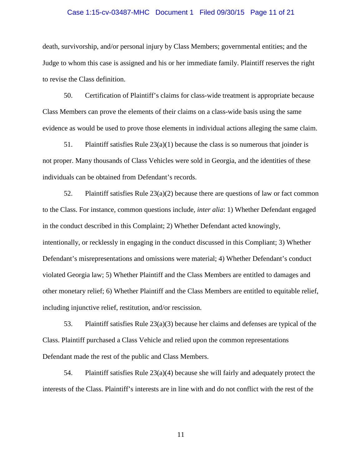#### Case 1:15-cv-03487-MHC Document 1 Filed 09/30/15 Page 11 of 21

death, survivorship, and/or personal injury by Class Members; governmental entities; and the Judge to whom this case is assigned and his or her immediate family. Plaintiff reserves the right to revise the Class definition.

50. Certification of Plaintiff's claims for class-wide treatment is appropriate because Class Members can prove the elements of their claims on a class-wide basis using the same evidence as would be used to prove those elements in individual actions alleging the same claim.

51. Plaintiff satisfies Rule  $23(a)(1)$  because the class is so numerous that joinder is not proper. Many thousands of Class Vehicles were sold in Georgia, and the identities of these individuals can be obtained from Defendant's records.

52. Plaintiff satisfies Rule  $23(a)(2)$  because there are questions of law or fact common to the Class. For instance, common questions include, *inter alia*: 1) Whether Defendant engaged in the conduct described in this Complaint; 2) Whether Defendant acted knowingly, intentionally, or recklessly in engaging in the conduct discussed in this Compliant; 3) Whether Defendant's misrepresentations and omissions were material; 4) Whether Defendant's conduct violated Georgia law; 5) Whether Plaintiff and the Class Members are entitled to damages and other monetary relief; 6) Whether Plaintiff and the Class Members are entitled to equitable relief, including injunctive relief, restitution, and/or rescission.

53. Plaintiff satisfies Rule 23(a)(3) because her claims and defenses are typical of the Class. Plaintiff purchased a Class Vehicle and relied upon the common representations Defendant made the rest of the public and Class Members.

54. Plaintiff satisfies Rule 23(a)(4) because she will fairly and adequately protect the interests of the Class. Plaintiff's interests are in line with and do not conflict with the rest of the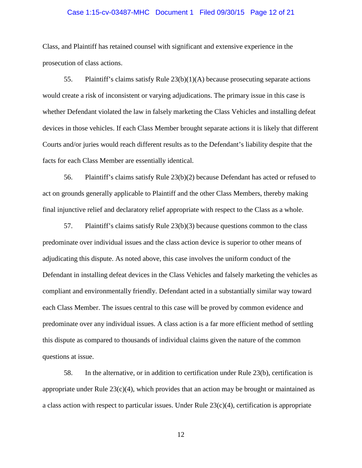## Case 1:15-cv-03487-MHC Document 1 Filed 09/30/15 Page 12 of 21

Class, and Plaintiff has retained counsel with significant and extensive experience in the prosecution of class actions.

55. Plaintiff's claims satisfy Rule  $23(b)(1)(A)$  because prosecuting separate actions would create a risk of inconsistent or varying adjudications. The primary issue in this case is whether Defendant violated the law in falsely marketing the Class Vehicles and installing defeat devices in those vehicles. If each Class Member brought separate actions it is likely that different Courts and/or juries would reach different results as to the Defendant's liability despite that the facts for each Class Member are essentially identical.

56. Plaintiff's claims satisfy Rule 23(b)(2) because Defendant has acted or refused to act on grounds generally applicable to Plaintiff and the other Class Members, thereby making final injunctive relief and declaratory relief appropriate with respect to the Class as a whole.

57. Plaintiff's claims satisfy Rule 23(b)(3) because questions common to the class predominate over individual issues and the class action device is superior to other means of adjudicating this dispute. As noted above, this case involves the uniform conduct of the Defendant in installing defeat devices in the Class Vehicles and falsely marketing the vehicles as compliant and environmentally friendly. Defendant acted in a substantially similar way toward each Class Member. The issues central to this case will be proved by common evidence and predominate over any individual issues. A class action is a far more efficient method of settling this dispute as compared to thousands of individual claims given the nature of the common questions at issue.

58. In the alternative, or in addition to certification under Rule 23(b), certification is appropriate under Rule  $23(c)(4)$ , which provides that an action may be brought or maintained as a class action with respect to particular issues. Under Rule  $23(c)(4)$ , certification is appropriate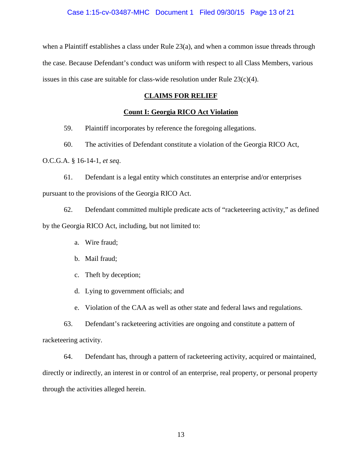when a Plaintiff establishes a class under Rule  $23(a)$ , and when a common issue threads through the case. Because Defendant's conduct was uniform with respect to all Class Members, various issues in this case are suitable for class-wide resolution under Rule  $23(c)(4)$ .

# **CLAIMS FOR RELIEF**

# **Count I: Georgia RICO Act Violation**

59. Plaintiff incorporates by reference the foregoing allegations.

60. The activities of Defendant constitute a violation of the Georgia RICO Act,

O.C.G.A. § 16-14-1, *et seq*.

61. Defendant is a legal entity which constitutes an enterprise and/or enterprises pursuant to the provisions of the Georgia RICO Act.

62. Defendant committed multiple predicate acts of "racketeering activity," as defined by the Georgia RICO Act, including, but not limited to:

- a. Wire fraud;
- b. Mail fraud;
- c. Theft by deception;
- d. Lying to government officials; and
- e. Violation of the CAA as well as other state and federal laws and regulations.

63. Defendant's racketeering activities are ongoing and constitute a pattern of racketeering activity.

64. Defendant has, through a pattern of racketeering activity, acquired or maintained, directly or indirectly, an interest in or control of an enterprise, real property, or personal property through the activities alleged herein.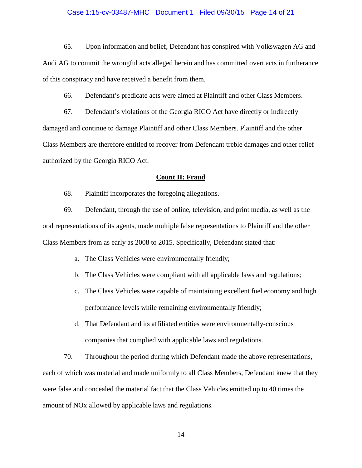#### Case 1:15-cv-03487-MHC Document 1 Filed 09/30/15 Page 14 of 21

65. Upon information and belief, Defendant has conspired with Volkswagen AG and Audi AG to commit the wrongful acts alleged herein and has committed overt acts in furtherance of this conspiracy and have received a benefit from them.

66. Defendant's predicate acts were aimed at Plaintiff and other Class Members.

67. Defendant's violations of the Georgia RICO Act have directly or indirectly damaged and continue to damage Plaintiff and other Class Members. Plaintiff and the other Class Members are therefore entitled to recover from Defendant treble damages and other relief authorized by the Georgia RICO Act.

#### **Count II: Fraud**

68. Plaintiff incorporates the foregoing allegations.

69. Defendant, through the use of online, television, and print media, as well as the oral representations of its agents, made multiple false representations to Plaintiff and the other Class Members from as early as 2008 to 2015. Specifically, Defendant stated that:

- a. The Class Vehicles were environmentally friendly;
- b. The Class Vehicles were compliant with all applicable laws and regulations;
- c. The Class Vehicles were capable of maintaining excellent fuel economy and high performance levels while remaining environmentally friendly;
- d. That Defendant and its affiliated entities were environmentally-conscious companies that complied with applicable laws and regulations.

70. Throughout the period during which Defendant made the above representations, each of which was material and made uniformly to all Class Members, Defendant knew that they were false and concealed the material fact that the Class Vehicles emitted up to 40 times the amount of NOx allowed by applicable laws and regulations.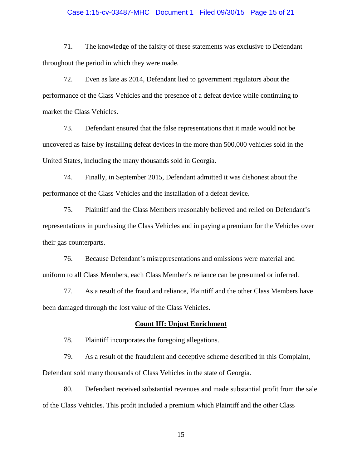## Case 1:15-cv-03487-MHC Document 1 Filed 09/30/15 Page 15 of 21

71. The knowledge of the falsity of these statements was exclusive to Defendant throughout the period in which they were made.

72. Even as late as 2014, Defendant lied to government regulators about the performance of the Class Vehicles and the presence of a defeat device while continuing to market the Class Vehicles.

73. Defendant ensured that the false representations that it made would not be uncovered as false by installing defeat devices in the more than 500,000 vehicles sold in the United States, including the many thousands sold in Georgia.

74. Finally, in September 2015, Defendant admitted it was dishonest about the performance of the Class Vehicles and the installation of a defeat device.

75. Plaintiff and the Class Members reasonably believed and relied on Defendant's representations in purchasing the Class Vehicles and in paying a premium for the Vehicles over their gas counterparts.

76. Because Defendant's misrepresentations and omissions were material and uniform to all Class Members, each Class Member's reliance can be presumed or inferred.

77. As a result of the fraud and reliance, Plaintiff and the other Class Members have been damaged through the lost value of the Class Vehicles.

#### **Count III: Unjust Enrichment**

78. Plaintiff incorporates the foregoing allegations.

79. As a result of the fraudulent and deceptive scheme described in this Complaint, Defendant sold many thousands of Class Vehicles in the state of Georgia.

80. Defendant received substantial revenues and made substantial profit from the sale of the Class Vehicles. This profit included a premium which Plaintiff and the other Class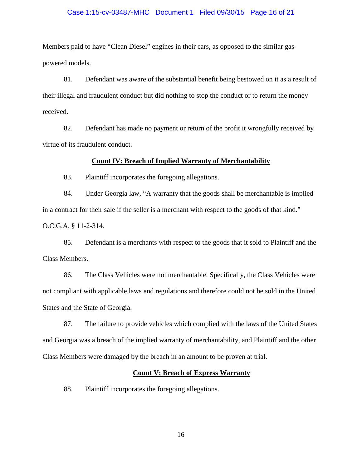#### Case 1:15-cv-03487-MHC Document 1 Filed 09/30/15 Page 16 of 21

Members paid to have "Clean Diesel" engines in their cars, as opposed to the similar gaspowered models.

81. Defendant was aware of the substantial benefit being bestowed on it as a result of their illegal and fraudulent conduct but did nothing to stop the conduct or to return the money received.

82. Defendant has made no payment or return of the profit it wrongfully received by virtue of its fraudulent conduct.

## **Count IV: Breach of Implied Warranty of Merchantability**

83. Plaintiff incorporates the foregoing allegations.

84. Under Georgia law, "A warranty that the goods shall be merchantable is implied in a contract for their sale if the seller is a merchant with respect to the goods of that kind."

O.C.G.A. § 11-2-314.

85. Defendant is a merchants with respect to the goods that it sold to Plaintiff and the Class Members.

86. The Class Vehicles were not merchantable. Specifically, the Class Vehicles were not compliant with applicable laws and regulations and therefore could not be sold in the United States and the State of Georgia.

87. The failure to provide vehicles which complied with the laws of the United States and Georgia was a breach of the implied warranty of merchantability, and Plaintiff and the other Class Members were damaged by the breach in an amount to be proven at trial.

## **Count V: Breach of Express Warranty**

88. Plaintiff incorporates the foregoing allegations.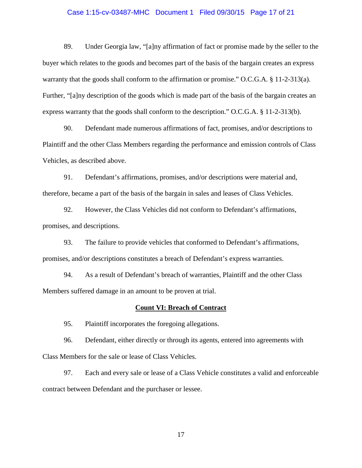## Case 1:15-cv-03487-MHC Document 1 Filed 09/30/15 Page 17 of 21

89. Under Georgia law, "[a]ny affirmation of fact or promise made by the seller to the buyer which relates to the goods and becomes part of the basis of the bargain creates an express warranty that the goods shall conform to the affirmation or promise." O.C.G.A. § 11-2-313(a). Further, "[a]ny description of the goods which is made part of the basis of the bargain creates an express warranty that the goods shall conform to the description." O.C.G.A. § 11-2-313(b).

90. Defendant made numerous affirmations of fact, promises, and/or descriptions to Plaintiff and the other Class Members regarding the performance and emission controls of Class Vehicles, as described above.

91. Defendant's affirmations, promises, and/or descriptions were material and, therefore, became a part of the basis of the bargain in sales and leases of Class Vehicles.

92. However, the Class Vehicles did not conform to Defendant's affirmations, promises, and descriptions.

93. The failure to provide vehicles that conformed to Defendant's affirmations, promises, and/or descriptions constitutes a breach of Defendant's express warranties.

94. As a result of Defendant's breach of warranties, Plaintiff and the other Class Members suffered damage in an amount to be proven at trial.

#### **Count VI: Breach of Contract**

95. Plaintiff incorporates the foregoing allegations.

96. Defendant, either directly or through its agents, entered into agreements with Class Members for the sale or lease of Class Vehicles.

97. Each and every sale or lease of a Class Vehicle constitutes a valid and enforceable contract between Defendant and the purchaser or lessee.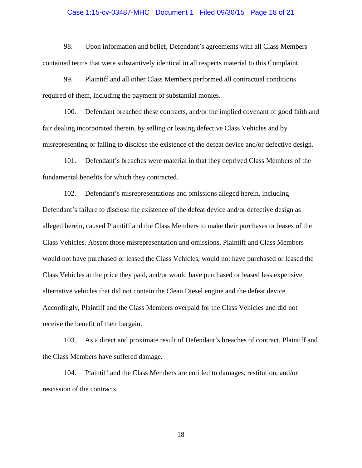## Case 1:15-cv-03487-MHC Document 1 Filed 09/30/15 Page 18 of 21

98. Upon information and belief, Defendant's agreements with all Class Members contained terms that were substantively identical in all respects material to this Complaint.

99. Plaintiff and all other Class Members performed all contractual conditions required of them, including the payment of substantial monies.

100. Defendant breached these contracts, and/or the implied covenant of good faith and fair dealing incorporated therein, by selling or leasing defective Class Vehicles and by misrepresenting or failing to disclose the existence of the defeat device and/or defective design.

101. Defendant's breaches were material in that they deprived Class Members of the fundamental benefits for which they contracted.

102. Defendant's misrepresentations and omissions alleged herein, including Defendant's failure to disclose the existence of the defeat device and/or defective design as alleged herein, caused Plaintiff and the Class Members to make their purchases or leases of the Class Vehicles. Absent those misrepresentation and omissions, Plaintiff and Class Members would not have purchased or leased the Class Vehicles, would not have purchased or leased the Class Vehicles at the price they paid, and/or would have purchased or leased less expensive alternative vehicles that did not contain the Clean Diesel engine and the defeat device. Accordingly, Plaintiff and the Class Members overpaid for the Class Vehicles and did not receive the benefit of their bargain.

103. As a direct and proximate result of Defendant's breaches of contract, Plaintiff and the Class Members have suffered damage.

104. Plaintiff and the Class Members are entitled to damages, restitution, and/or rescission of the contracts.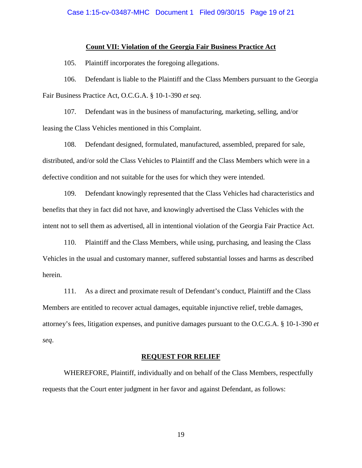## **Count VII: Violation of the Georgia Fair Business Practice Act**

105. Plaintiff incorporates the foregoing allegations.

106. Defendant is liable to the Plaintiff and the Class Members pursuant to the Georgia Fair Business Practice Act, O.C.G.A. § 10-1-390 *et seq*.

107. Defendant was in the business of manufacturing, marketing, selling, and/or leasing the Class Vehicles mentioned in this Complaint.

108. Defendant designed, formulated, manufactured, assembled, prepared for sale, distributed, and/or sold the Class Vehicles to Plaintiff and the Class Members which were in a defective condition and not suitable for the uses for which they were intended.

109. Defendant knowingly represented that the Class Vehicles had characteristics and benefits that they in fact did not have, and knowingly advertised the Class Vehicles with the intent not to sell them as advertised, all in intentional violation of the Georgia Fair Practice Act.

110. Plaintiff and the Class Members, while using, purchasing, and leasing the Class Vehicles in the usual and customary manner, suffered substantial losses and harms as described herein.

111. As a direct and proximate result of Defendant's conduct, Plaintiff and the Class Members are entitled to recover actual damages, equitable injunctive relief, treble damages, attorney's fees, litigation expenses, and punitive damages pursuant to the O.C.G.A. § 10-1-390 *et seq*.

#### **REQUEST FOR RELIEF**

WHEREFORE, Plaintiff, individually and on behalf of the Class Members, respectfully requests that the Court enter judgment in her favor and against Defendant, as follows: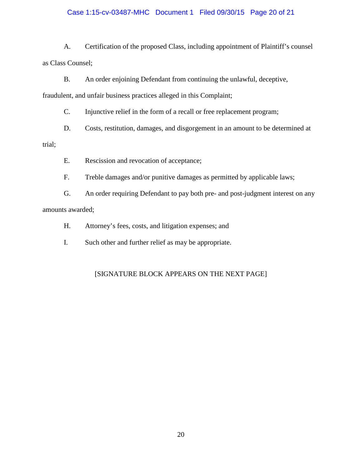## Case 1:15-cv-03487-MHC Document 1 Filed 09/30/15 Page 20 of 21

A. Certification of the proposed Class, including appointment of Plaintiff's counsel as Class Counsel;

B. An order enjoining Defendant from continuing the unlawful, deceptive,

fraudulent, and unfair business practices alleged in this Complaint;

C. Injunctive relief in the form of a recall or free replacement program;

D. Costs, restitution, damages, and disgorgement in an amount to be determined at

trial;

E. Rescission and revocation of acceptance;

F. Treble damages and/or punitive damages as permitted by applicable laws;

G. An order requiring Defendant to pay both pre- and post-judgment interest on any amounts awarded;

H. Attorney's fees, costs, and litigation expenses; and

I. Such other and further relief as may be appropriate.

# [SIGNATURE BLOCK APPEARS ON THE NEXT PAGE]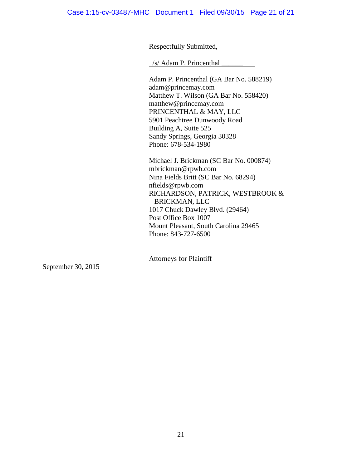Respectfully Submitted,

/s/ Adam P. Princenthal \_\_\_\_\_\_

Adam P. Princenthal (GA Bar No. 588219) adam@princemay.com Matthew T. Wilson (GA Bar No. 558420) matthew@princemay.com PRINCENTHAL & MAY, LLC 5901 Peachtree Dunwoody Road Building A, Suite 525 Sandy Springs, Georgia 30328 Phone: 678-534-1980

Michael J. Brickman (SC Bar No. 000874) mbrickman@rpwb.com Nina Fields Britt (SC Bar No. 68294) nfields@rpwb.com RICHARDSON, PATRICK, WESTBROOK & BRICKMAN, LLC 1017 Chuck Dawley Blvd. (29464) Post Office Box 1007 Mount Pleasant, South Carolina 29465 Phone: 843-727-6500

Attorneys for Plaintiff

September 30, 2015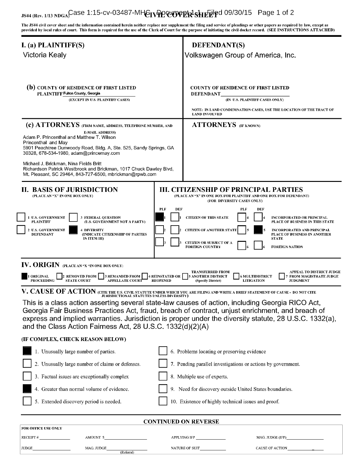# JS44 (Rev. 1/13 NDGA)Case 1:15-cv-03487-MHGIVPDCUOVPER1sHEEPpd 09/30/15 Page 1 of 2

The JS44 civil cover sheet and the information contained herein neither replace nor supplement the filing and service of pleadings or other papers as required by law, except as provided by local rules of court. This form is required for the use of the Clerk of Court for the purpose of initiating the civil docket record. (SEE INSTRUCTIONS ATTACHED)

| I. (a) PLAINTIFF(S)                                                                                                                                                                                                                                                                                                                                                                                                                                                                                                                                                    |                                           | <b>DEFENDANT(S)</b>                                                                                                                                                                                                                                                                                                                   |  |  |
|------------------------------------------------------------------------------------------------------------------------------------------------------------------------------------------------------------------------------------------------------------------------------------------------------------------------------------------------------------------------------------------------------------------------------------------------------------------------------------------------------------------------------------------------------------------------|-------------------------------------------|---------------------------------------------------------------------------------------------------------------------------------------------------------------------------------------------------------------------------------------------------------------------------------------------------------------------------------------|--|--|
| Victoria Kealy                                                                                                                                                                                                                                                                                                                                                                                                                                                                                                                                                         |                                           | Volkswagen Group of America, Inc.                                                                                                                                                                                                                                                                                                     |  |  |
| (b) COUNTY OF RESIDENCE OF FIRST LISTED<br>PLAINTIFF Fulton County, Georgia<br>(EXCEPT IN U.S. PLAINTIFF CASES)<br>(c) ATTORNEYS (FIRM NAME, ADDRESS, TELEPHONE NUMBER, AND<br><b>E-MAIL ADDRESS)</b><br>Adam P. Princenthal and Matthew T. Wilson<br>Princenthal and May<br>5901 Peachtree Dunwoody Road, Bldg. A, Ste. 525, Sandy Springs, GA<br>30328, 678-534-1980, adam@princemay.com<br>Michael J. Brickman, Nina Fields Britt<br>Richardson Patrick Westbrook and Brickman, 1017 Chuck Dawley Blvd,<br>Mt. Pleasant, SC 29464, 843-727-6500, mbrickman@rpwb.com |                                           | <b>COUNTY OF RESIDENCE OF FIRST LISTED</b><br><b>DEFENDANT</b><br>(IN U.S. PLAINTIFF CASES ONLY)<br>NOTE: IN LAND CONDEMNATION CASES, USE THE LOCATION OF THE TRACT OF<br><b>LAND INVOLVED</b><br><b>ATTORNEYS</b> (IF KNOWN)                                                                                                         |  |  |
| <b>II. BASIS OF JURISDICTION</b><br>(PLACE AN "X" IN ONE BOX ONLY)                                                                                                                                                                                                                                                                                                                                                                                                                                                                                                     |                                           | <b>III. CITIZENSHIP OF PRINCIPAL PARTIES</b><br>(PLACE AN "X" IN ONE BOX FOR PLAINTIFF AND ONE BOX FOR DEFENDANT)<br>(FOR DIVERSITY CASES ONLY)                                                                                                                                                                                       |  |  |
| 1 U.S. GOVERNMENT<br><b>3 FEDERAL QUESTION</b><br><b>PLAINTIFF</b><br>(U.S. GOVERNMENT NOT A PARTY)<br>2 U.S. GOVERNMENT<br><b>4 DIVERSITY</b><br>(INDICATE CITIZENSHIP OF PARTIES<br><b>DEFENDANT</b><br>IN ITEM III)                                                                                                                                                                                                                                                                                                                                                 | <b>PLF</b><br><b>DEF</b>                  | <b>PLF</b><br>DEF<br><b>CITIZEN OF THIS STATE</b><br><b>INCORPORATED OR PRINCIPAL</b><br>PLACE OF BUSINESS IN THIS STATE<br><b>CITIZEN OF ANOTHER STATI</b><br><b>INCORPORATED AND PRINCIPAL</b><br>PLACE OF BUSINESS IN ANOTHER<br><b>STATE</b><br><b>CITIZEN OR SUBJECT OF A</b><br><b>FOREIGN COUNTRY</b><br><b>FOREIGN NATION</b> |  |  |
| IV. ORIGIN (PLACE AN "X "IN ONE BOX ONLY)<br><b>REMOVED FROM</b><br><b>3 REMANDED FROM</b><br><b>ORIGINAL</b><br><b>PROCEEDING</b><br><b>STATE COURT</b><br><b>APPELLATE COURT</b>                                                                                                                                                                                                                                                                                                                                                                                     | <b>4 REINSTATED OR</b><br><b>REOPENED</b> | <b>TRANSFERRED FROM</b><br><b>APPEAL TO DISTRICT JUDGE</b><br><b>5 ANOTHER DISTRICT</b><br><b>6 MULTIDISTRICT</b><br><b>FROM MAGISTRATE JUDGE</b><br><b>LITIGATION</b><br>(Specify District)<br><b>JUDGMENT</b>                                                                                                                       |  |  |
| V. CAUSE OF ACTION (CITE THE U.S. CIVIL STATUTE UNDER WHICH YOU ARE FILING AND WRITE A BRIEF STATEMENT OF CAUSE - DO NOT CITE<br>JURISDICTIONAL STATUTES UNLESS DIVERSITY)<br>and the Class Action Fairness Act, 28 U.S.C. 1332(d)(2)(A)                                                                                                                                                                                                                                                                                                                               |                                           | This is a class action asserting several state-law causes of action, including Georgia RICO Act,<br>Georgia Fair Business Practices Act, fraud, breach of contract, unjust enrichment, and breach of<br>express and implied warranties. Jurisdiction is proper under the diversity statute, 28 U.S.C. 1332(a),                        |  |  |
| (IF COMPLEX, CHECK REASON BELOW)                                                                                                                                                                                                                                                                                                                                                                                                                                                                                                                                       |                                           |                                                                                                                                                                                                                                                                                                                                       |  |  |
| 1. Unusually large number of parties.                                                                                                                                                                                                                                                                                                                                                                                                                                                                                                                                  |                                           | 6. Problems locating or preserving evidence                                                                                                                                                                                                                                                                                           |  |  |
| 2. Unusually large number of claims or defenses.                                                                                                                                                                                                                                                                                                                                                                                                                                                                                                                       |                                           | 7. Pending parallel investigations or actions by government.                                                                                                                                                                                                                                                                          |  |  |
| 3. Factual issues are exceptionally complex                                                                                                                                                                                                                                                                                                                                                                                                                                                                                                                            |                                           | 8. Multiple use of experts.                                                                                                                                                                                                                                                                                                           |  |  |
| 4. Greater than normal volume of evidence.                                                                                                                                                                                                                                                                                                                                                                                                                                                                                                                             |                                           | 9. Need for discovery outside United States boundaries.                                                                                                                                                                                                                                                                               |  |  |
| 5. Extended discovery period is needed.                                                                                                                                                                                                                                                                                                                                                                                                                                                                                                                                |                                           | 10. Existence of highly technical issues and proof.                                                                                                                                                                                                                                                                                   |  |  |
| <b>CONTINUED ON REVERSE</b>                                                                                                                                                                                                                                                                                                                                                                                                                                                                                                                                            |                                           |                                                                                                                                                                                                                                                                                                                                       |  |  |
| FOR OFFICE USE ONLY<br>AMOUNT \$<br>RECEIPT $#$                                                                                                                                                                                                                                                                                                                                                                                                                                                                                                                        |                                           | APPLYING IFP<br>MAG. JUDGE (IFP)                                                                                                                                                                                                                                                                                                      |  |  |

JUDGE MAG. JUDGE MAG. JUDGE NATURE OF SUIT CAUSE OF ACTION

(Referral)